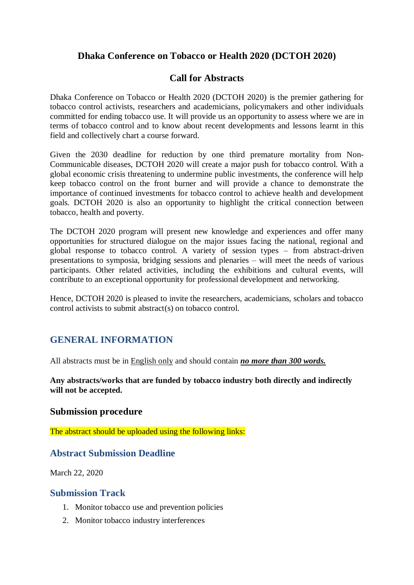# **Dhaka Conference on Tobacco or Health 2020 (DCTOH 2020)**

## **Call for Abstracts**

Dhaka Conference on Tobacco or Health 2020 (DCTOH 2020) is the premier gathering for tobacco control activists, researchers and academicians, policymakers and other individuals committed for ending tobacco use. It will provide us an opportunity to assess where we are in terms of tobacco control and to know about recent developments and lessons learnt in this field and collectively chart a course forward.

Given the 2030 deadline for reduction by one third premature mortality from Non-Communicable diseases, DCTOH 2020 will create a major push for tobacco control. With a global economic crisis threatening to undermine public investments, the conference will help keep tobacco control on the front burner and will provide a chance to demonstrate the importance of continued investments for tobacco control to achieve health and development goals. DCTOH 2020 is also an opportunity to highlight the critical connection between tobacco, health and poverty.

The DCTOH 2020 program will present new knowledge and experiences and offer many opportunities for structured dialogue on the major issues facing the national, regional and global response to tobacco control. A variety of session types – from abstract-driven presentations to symposia, bridging sessions and plenaries – will meet the needs of various participants. Other related activities, including the exhibitions and cultural events, will contribute to an exceptional opportunity for professional development and networking.

Hence, DCTOH 2020 is pleased to invite the researchers, academicians, scholars and tobacco control activists to submit abstract(s) on tobacco control.

# **GENERAL INFORMATION**

All abstracts must be in English only and should contain *no more than 300 words.* 

**Any abstracts/works that are funded by tobacco industry both directly and indirectly will not be accepted.** 

### **Submission procedure**

The abstract should be uploaded using the following links:

## **Abstract Submission Deadline**

March 22, 2020

### **Submission Track**

- 1. [Monitor tobacco use and prevention policies](http://www.who.int/entity/tobacco/mpower/monitor/en/index.html)
- 2. [Monitor tobacco industry interferences](http://www.who.int/entity/tobacco/mpower/monitor/en/index.html)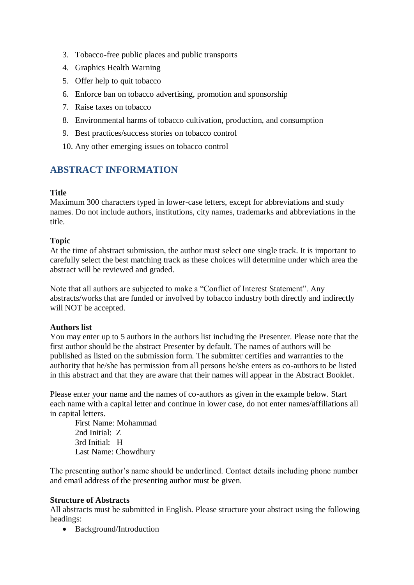- 3. Tobacco-free public places and public transports
- 4. Graphics Health Warning
- 5. Offer help to quit tobacco
- 6. [Enforce ban on tobacco advertising, promotion and sponsorship](http://www.who.int/entity/tobacco/mpower/enforce/en/index.html)
- 7. Raise taxes on tobacco
- 8. Environmental harms of tobacco cultivation, production, and consumption
- 9. Best practices/success stories on tobacco control
- 10. Any other emerging issues on tobacco control

# **ABSTRACT INFORMATION**

#### **Title**

Maximum 300 characters typed in lower-case letters, except for abbreviations and study names. Do not include authors, institutions, city names, trademarks and abbreviations in the title.

#### **Topic**

At the time of abstract submission, the author must select one single track. It is important to carefully select the best matching track as these choices will determine under which area the abstract will be reviewed and graded.

Note that all authors are subjected to make a "Conflict of Interest Statement". Any abstracts/works that are funded or involved by tobacco industry both directly and indirectly will NOT be accepted.

### **Authors list**

You may enter up to 5 authors in the authors list including the Presenter. Please note that the first author should be the abstract Presenter by default. The names of authors will be published as listed on the submission form. The submitter certifies and warranties to the authority that he/she has permission from all persons he/she enters as co-authors to be listed in this abstract and that they are aware that their names will appear in the Abstract Booklet.

Please enter your name and the names of co-authors as given in the example below. Start each name with a capital letter and continue in lower case, do not enter names/affiliations all in capital letters.

First Name: Mohammad 2nd Initial: Z 3rd Initial: H Last Name: Chowdhury

The presenting author's name should be underlined. Contact details including phone number and email address of the presenting author must be given.

#### **Structure of Abstracts**

All abstracts must be submitted in English. Please structure your abstract using the following headings:

• Background/Introduction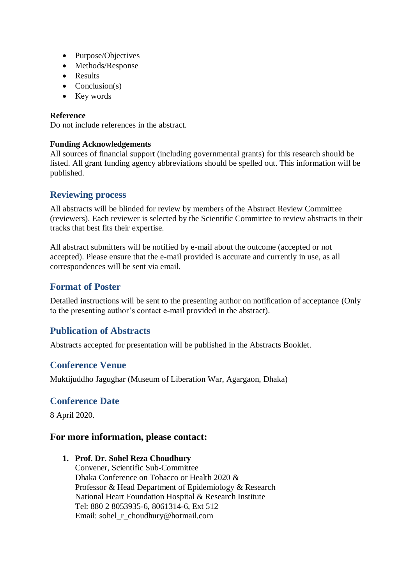- Purpose/Objectives
- Methods/Response
- Results
- $\bullet$  Conclusion(s)
- Key words

### **Reference**

Do not include references in the abstract.

### **Funding Acknowledgements**

All sources of financial support (including governmental grants) for this research should be listed. All grant funding agency abbreviations should be spelled out. This information will be published.

## **Reviewing process**

All abstracts will be blinded for review by members of the Abstract Review Committee (reviewers). Each reviewer is selected by the Scientific Committee to review abstracts in their tracks that best fits their expertise.

All abstract submitters will be notified by e-mail about the outcome (accepted or not accepted). Please ensure that the e-mail provided is accurate and currently in use, as all correspondences will be sent via email.

## **Format of Poster**

Detailed instructions will be sent to the presenting author on notification of acceptance (Only to the presenting author's contact e-mail provided in the abstract).

# **Publication of Abstracts**

Abstracts accepted for presentation will be published in the Abstracts Booklet.

# **Conference Venue**

Muktijuddho Jagughar (Museum of Liberation War, Agargaon, Dhaka)

## **Conference Date**

8 April 2020.

## **For more information, please contact:**

**1. Prof. Dr. Sohel Reza Choudhury**

Convener, Scientific Sub-Committee Dhaka Conference on Tobacco or Health 2020 & Professor & Head Department of Epidemiology & Research National Heart Foundation Hospital & Research Institute Tel: 880 2 8053935-6, 8061314-6, Ext 512 Email: sohel\_r\_choudhury@hotmail.com